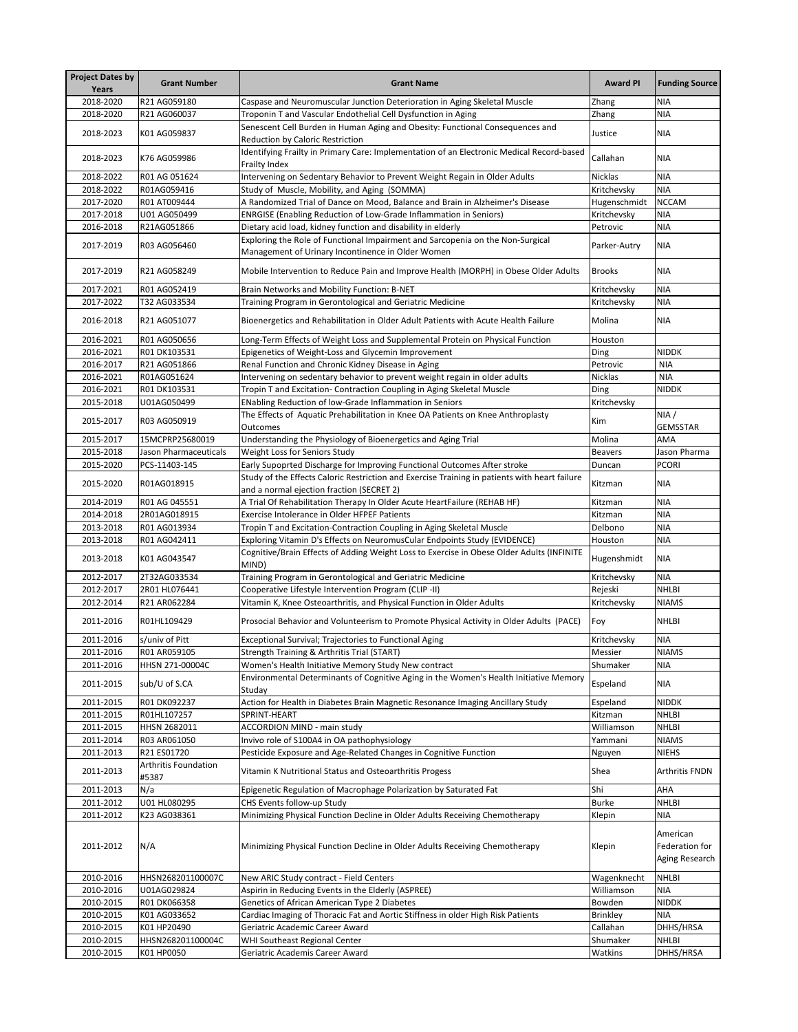| <b>Project Dates by</b> |                               |                                                                                                                                              |                      |                                              |
|-------------------------|-------------------------------|----------------------------------------------------------------------------------------------------------------------------------------------|----------------------|----------------------------------------------|
| <b>Years</b>            | <b>Grant Number</b>           | <b>Grant Name</b>                                                                                                                            | <b>Award PI</b>      | <b>Funding Source</b>                        |
| 2018-2020               | R21 AG059180                  | Caspase and Neuromuscular Junction Deterioration in Aging Skeletal Muscle                                                                    | Zhang                | NIA                                          |
| 2018-2020               | R21 AG060037                  | Troponin T and Vascular Endothelial Cell Dysfunction in Aging                                                                                | Zhang                | <b>NIA</b>                                   |
| 2018-2023               | K01 AG059837                  | Senescent Cell Burden in Human Aging and Obesity: Functional Consequences and<br><b>Reduction by Caloric Restriction</b>                     | Justice              | NIA                                          |
| 2018-2023               | K76 AG059986                  | Identifying Frailty in Primary Care: Implementation of an Electronic Medical Record-based<br>Frailty Index                                   | Callahan             | <b>NIA</b>                                   |
| 2018-2022               | R01 AG 051624                 | Intervening on Sedentary Behavior to Prevent Weight Regain in Older Adults                                                                   | <b>Nicklas</b>       | <b>NIA</b>                                   |
| 2018-2022               | R01AG059416                   | Study of Muscle, Mobility, and Aging (SOMMA)                                                                                                 | Kritchevsky          | <b>NIA</b>                                   |
| 2017-2020               | R01 AT009444                  | A Randomized Trial of Dance on Mood, Balance and Brain in Alzheimer's Disease                                                                | Hugenschmidt         | <b>NCCAM</b>                                 |
| 2017-2018               | U01 AG050499                  | ENRGISE (Enabling Reduction of Low-Grade Inflammation in Seniors)                                                                            | Kritchevsky          | <b>NIA</b>                                   |
| 2016-2018               | R21AG051866                   | Dietary acid load, kidney function and disability in elderly                                                                                 | Petrovic             | <b>NIA</b>                                   |
| 2017-2019               | R03 AG056460                  | Exploring the Role of Functional Impairment and Sarcopenia on the Non-Surgical<br>Management of Urinary Incontinence in Older Women          | Parker-Autry         | <b>NIA</b>                                   |
| 2017-2019               | R21 AG058249                  | Mobile Intervention to Reduce Pain and Improve Health (MORPH) in Obese Older Adults                                                          | <b>Brooks</b>        | <b>NIA</b>                                   |
| 2017-2021               | R01 AG052419                  | Brain Networks and Mobility Function: B-NET                                                                                                  | Kritchevsky          | <b>NIA</b>                                   |
| 2017-2022               | T32 AG033534                  | Training Program in Gerontological and Geriatric Medicine                                                                                    | Kritchevsky          | <b>NIA</b>                                   |
| 2016-2018               | R21 AG051077                  | Bioenergetics and Rehabilitation in Older Adult Patients with Acute Health Failure                                                           | Molina               | <b>NIA</b>                                   |
| 2016-2021               | R01 AG050656                  | Long-Term Effects of Weight Loss and Supplemental Protein on Physical Function                                                               | Houston              |                                              |
| 2016-2021               | R01 DK103531                  | Epigenetics of Weight-Loss and Glycemin Improvement                                                                                          | Ding                 | <b>NIDDK</b>                                 |
| 2016-2017               | R21 AG051866                  | Renal Function and Chronic Kidney Disease in Aging                                                                                           | Petrovic             | <b>NIA</b>                                   |
| 2016-2021               | R01AG051624                   | Intervening on sedentary behavior to prevent weight regain in older adults                                                                   | <b>Nicklas</b>       | <b>NIA</b>                                   |
| 2016-2021               | R01 DK103531                  | Tropin T and Excitation- Contraction Coupling in Aging Skeletal Muscle                                                                       | Ding                 | <b>NIDDK</b>                                 |
| 2015-2018               | U01AG050499                   | <b>ENabling Reduction of low-Grade Inflammation in Seniors</b>                                                                               | Kritchevsky          |                                              |
| 2015-2017               | R03 AG050919                  | The Effects of Aquatic Prehabilitation in Knee OA Patients on Knee Anthroplasty<br><b>Outcomes</b>                                           | Kim                  | NIA/<br><b>GEMSSTAR</b>                      |
| 2015-2017               | 15MCPRP25680019               | Understanding the Physiology of Bioenergetics and Aging Trial                                                                                | Molina               | <b>AMA</b>                                   |
| 2015-2018               | Jason Pharmaceuticals         | <b>Weight Loss for Seniors Study</b>                                                                                                         | <b>Beavers</b>       | Jason Pharma                                 |
| 2015-2020               | PCS-11403-145                 | Early Supoprted Discharge for Improving Functional Outcomes After stroke                                                                     | Duncan               | <b>PCORI</b>                                 |
| 2015-2020               | R01AG018915                   | Study of the Effects Caloric Restriction and Exercise Training in patients with heart failure<br>and a normal ejection fraction (SECRET 2)   | Kitzman              | NIA                                          |
| 2014-2019               | R01 AG 045551                 | A Trial Of Rehabilitation Therapy In Older Acute HeartFailure (REHAB HF)                                                                     | Kitzman              | <b>NIA</b>                                   |
| 2014-2018               | 2R01AG018915                  | Exercise Intolerance in Older HFPEF Patients                                                                                                 | Kitzman              | <b>NIA</b>                                   |
| 2013-2018               | R01 AG013934                  | Tropin T and Excitation-Contraction Coupling in Aging Skeletal Muscle                                                                        | Delbono              | <b>NIA</b>                                   |
| 2013-2018               | R01 AG042411                  | Exploring Vitamin D's Effects on NeuromusCular Endpoints Study (EVIDENCE)                                                                    | Houston              | <b>NIA</b>                                   |
| 2013-2018               | K01 AG043547                  | Cognitive/Brain Effects of Adding Weight Loss to Exercise in Obese Older Adults (INFINITE<br>MIND)                                           | Hugenshmidt          | <b>NIA</b>                                   |
| 2012-2017               | 2T32AG033534                  | Training Program in Gerontological and Geriatric Medicine                                                                                    | Kritchevsky          | NIA                                          |
| 2012-2017               | 2R01 HL076441                 | Cooperative Lifestyle Intervention Program (CLIP -II)                                                                                        | Rejeski              | NHLBI                                        |
| 2012-2014               | R21 AR062284                  | Vitamin K, Knee Osteoarthritis, and Physical Function in Older Adults                                                                        | Kritchevsky          | <b>NIAMS</b>                                 |
| 2011-2016               | R01HL109429                   | Prosocial Behavior and Volunteerism to Promote Physical Activity in Older Adults (PACE)                                                      | Foy                  | <b>NHLBI</b>                                 |
| 2011-2016               | s/univ of Pitt                | Exceptional Survival; Trajectories to Functional Aging                                                                                       | Kritchevsky          | <b>NIA</b>                                   |
| 2011-2016               | R01 AR059105                  | <b>Strength Training &amp; Arthritis Trial (START)</b>                                                                                       | Messier              | <b>NIAMS</b>                                 |
| 2011-2016               | HHSN 271-00004C               | Women's Health Initiative Memory Study New contract<br>Environmental Determinants of Cognitive Aging in the Women's Health Initiative Memory | Shumaker             | <b>NIA</b>                                   |
| 2011-2015<br>2011-2015  | sub/U of S.CA<br>R01 DK092237 | Studay<br>Action for Health in Diabetes Brain Magnetic Resonance Imaging Ancillary Study                                                     | Espeland<br>Espeland | <b>NIA</b><br><b>NIDDK</b>                   |
| 2011-2015               | R01HL107257                   | SPRINT-HEART                                                                                                                                 | Kitzman              | <b>NHLBI</b>                                 |
| 2011-2015               | HHSN 2682011                  | <b>ACCORDION MIND - main study</b>                                                                                                           | Williamson           | <b>NHLBI</b>                                 |
| 2011-2014               | R03 AR061050                  | Invivo role of S100A4 in OA pathophysiology                                                                                                  | Yammani              | <b>NIAMS</b>                                 |
| 2011-2013               | R21 ES01720                   | Pesticide Exposure and Age-Related Changes in Cognitive Function                                                                             | Nguyen               | <b>NIEHS</b>                                 |
| 2011-2013               | Arthritis Foundation<br>#5387 | Vitamin K Nutritional Status and Osteoarthritis Progess                                                                                      | Shea                 | <b>Arthritis FNDN</b>                        |
| 2011-2013               | N/a                           | Epigenetic Regulation of Macrophage Polarization by Saturated Fat                                                                            | Shi                  | <b>AHA</b>                                   |
| 2011-2012               | U01 HL080295                  | CHS Events follow-up Study                                                                                                                   | <b>Burke</b>         | <b>NHLBI</b>                                 |
| 2011-2012               | K23 AG038361                  | Minimizing Physical Function Decline in Older Adults Receiving Chemotherapy                                                                  | Klepin               | <b>NIA</b>                                   |
| 2011-2012               | N/A                           | Minimizing Physical Function Decline in Older Adults Receiving Chemotherapy                                                                  | Klepin               | American<br>Federation for<br>Aging Research |
| 2010-2016               | HHSN268201100007C             | New ARIC Study contract - Field Centers                                                                                                      | Wagenknecht          | <b>NHLBI</b>                                 |
| 2010-2016               | U01AG029824                   | Aspirin in Reducing Events in the Elderly (ASPREE)                                                                                           | Williamson           | <b>NIA</b>                                   |
| 2010-2015               | R01 DK066358                  | Genetics of African American Type 2 Diabetes                                                                                                 | Bowden               | <b>NIDDK</b>                                 |
| 2010-2015               | K01 AG033652                  | Cardiac Imaging of Thoracic Fat and Aortic Stiffness in older High Risk Patients                                                             | <b>Brinkley</b>      | NIA                                          |
| 2010-2015               | K01 HP20490                   | Geriatric Academic Career Award                                                                                                              | Callahan             | DHHS/HRSA                                    |
| 2010-2015               | HHSN268201100004C             | WHI Southeast Regional Center                                                                                                                | Shumaker             | <b>NHLBI</b>                                 |
| 2010-2015               | K01 HP0050                    | Geriatric Academis Career Award                                                                                                              | Watkins              | DHHS/HRSA                                    |